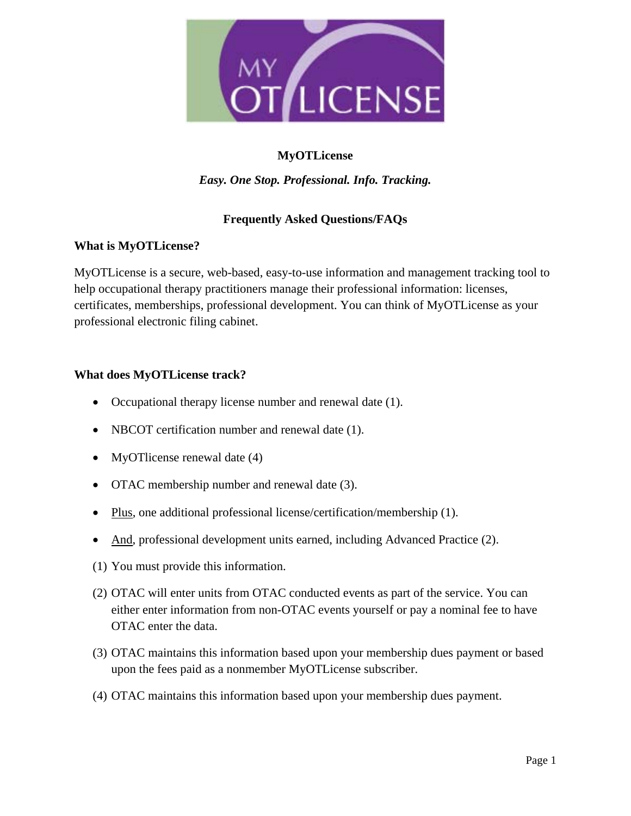

# **MyOTLicense**

*Easy. One Stop. Professional. Info. Tracking.* 

## **Frequently Asked Questions/FAQs**

### **What is MyOTLicense?**

MyOTLicense is a secure, web-based, easy-to-use information and management tracking tool to help occupational therapy practitioners manage their professional information: licenses, certificates, memberships, professional development. You can think of MyOTLicense as your professional electronic filing cabinet.

### **What does MyOTLicense track?**

- Occupational therapy license number and renewal date (1).
- NBCOT certification number and renewal date (1).
- MyOTlicense renewal date (4)
- OTAC membership number and renewal date (3).
- Plus, one additional professional license/certification/membership (1).
- And, professional development units earned, including Advanced Practice (2).
- (1) You must provide this information.
- (2) OTAC will enter units from OTAC conducted events as part of the service. You can either enter information from non-OTAC events yourself or pay a nominal fee to have OTAC enter the data.
- (3) OTAC maintains this information based upon your membership dues payment or based upon the fees paid as a nonmember MyOTLicense subscriber.
- (4) OTAC maintains this information based upon your membership dues payment.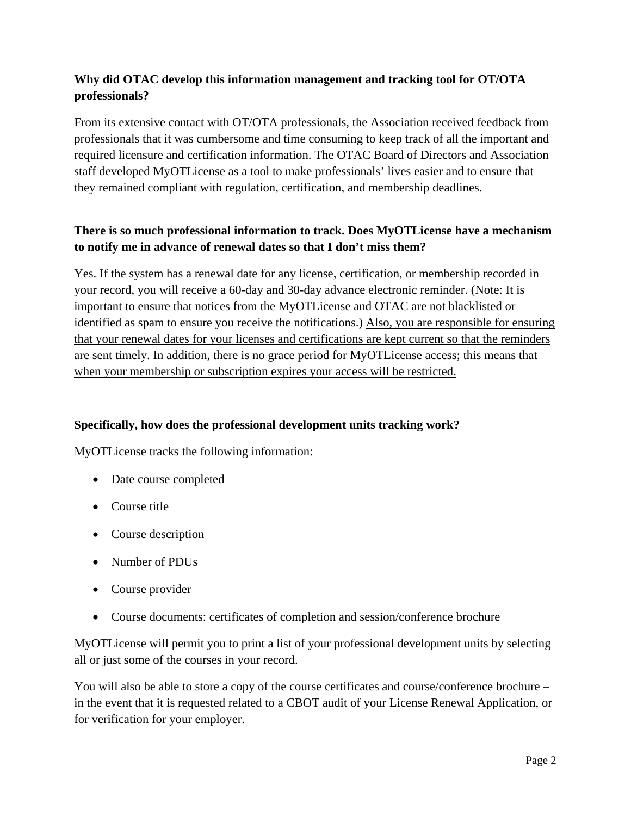# **Why did OTAC develop this information management and tracking tool for OT/OTA professionals?**

From its extensive contact with OT/OTA professionals, the Association received feedback from professionals that it was cumbersome and time consuming to keep track of all the important and required licensure and certification information. The OTAC Board of Directors and Association staff developed MyOTLicense as a tool to make professionals' lives easier and to ensure that they remained compliant with regulation, certification, and membership deadlines.

# **There is so much professional information to track. Does MyOTLicense have a mechanism to notify me in advance of renewal dates so that I don't miss them?**

Yes. If the system has a renewal date for any license, certification, or membership recorded in your record, you will receive a 60-day and 30-day advance electronic reminder. (Note: It is important to ensure that notices from the MyOTLicense and OTAC are not blacklisted or identified as spam to ensure you receive the notifications.) Also, you are responsible for ensuring that your renewal dates for your licenses and certifications are kept current so that the reminders are sent timely. In addition, there is no grace period for MyOTLicense access; this means that when your membership or subscription expires your access will be restricted.

## **Specifically, how does the professional development units tracking work?**

MyOTLicense tracks the following information:

- Date course completed
- Course title
- Course description
- Number of PDUs
- Course provider
- Course documents: certificates of completion and session/conference brochure

MyOTLicense will permit you to print a list of your professional development units by selecting all or just some of the courses in your record.

You will also be able to store a copy of the course certificates and course/conference brochure – in the event that it is requested related to a CBOT audit of your License Renewal Application, or for verification for your employer.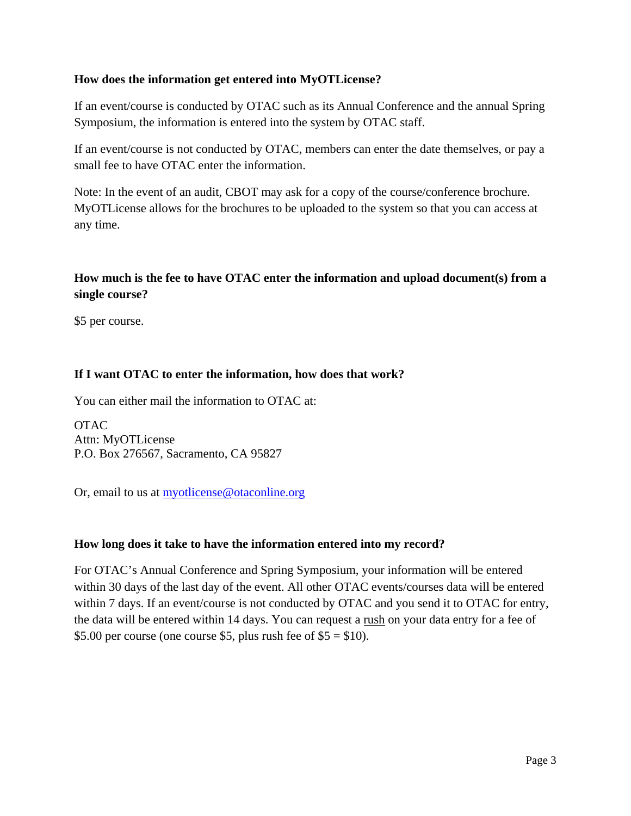## **How does the information get entered into MyOTLicense?**

If an event/course is conducted by OTAC such as its Annual Conference and the annual Spring Symposium, the information is entered into the system by OTAC staff.

If an event/course is not conducted by OTAC, members can enter the date themselves, or pay a small fee to have OTAC enter the information.

Note: In the event of an audit, CBOT may ask for a copy of the course/conference brochure. MyOTLicense allows for the brochures to be uploaded to the system so that you can access at any time.

# **How much is the fee to have OTAC enter the information and upload document(s) from a single course?**

\$5 per course.

## **If I want OTAC to enter the information, how does that work?**

You can either mail the information to OTAC at:

**OTAC** Attn: MyOTLicense P.O. Box 276567, Sacramento, CA 95827

Or, email to us at **myotlicense@otaconline.org** 

### **How long does it take to have the information entered into my record?**

For OTAC's Annual Conference and Spring Symposium, your information will be entered within 30 days of the last day of the event. All other OTAC events/courses data will be entered within 7 days. If an event/course is not conducted by OTAC and you send it to OTAC for entry, the data will be entered within 14 days. You can request a rush on your data entry for a fee of \$5.00 per course (one course \$5, plus rush fee of  $$5 = $10$ ).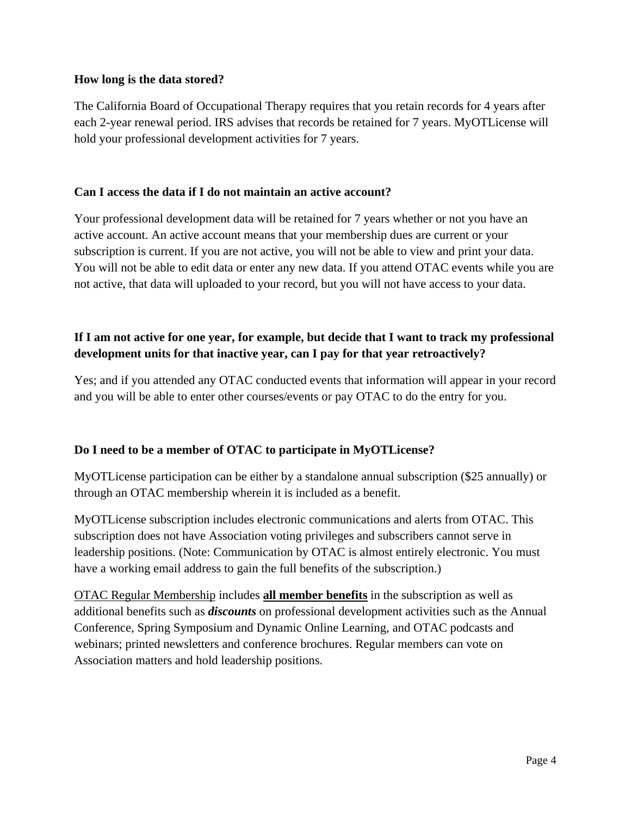### **How long is the data stored?**

The California Board of Occupational Therapy requires that you retain records for 4 years after each 2-year renewal period. IRS advises that records be retained for 7 years. MyOTLicense will hold your professional development activities for 7 years.

### **Can I access the data if I do not maintain an active account?**

Your professional development data will be retained for 7 years whether or not you have an active account. An active account means that your membership dues are current or your subscription is current. If you are not active, you will not be able to view and print your data. You will not be able to edit data or enter any new data. If you attend OTAC events while you are not active, that data will uploaded to your record, but you will not have access to your data.

# **If I am not active for one year, for example, but decide that I want to track my professional development units for that inactive year, can I pay for that year retroactively?**

Yes; and if you attended any OTAC conducted events that information will appear in your record and you will be able to enter other courses/events or pay OTAC to do the entry for you.

## **Do I need to be a member of OTAC to participate in MyOTLicense?**

MyOTLicense participation can be either by a standalone annual subscription (\$25 annually) or through an OTAC membership wherein it is included as a benefit.

MyOTLicense subscription includes electronic communications and alerts from OTAC. This subscription does not have Association voting privileges and subscribers cannot serve in leadership positions. (Note: Communication by OTAC is almost entirely electronic. You must have a working email address to gain the full benefits of the subscription.)

OTAC Regular Membership includes **all member benefits** in the subscription as well as additional benefits such as *discounts* on professional development activities such as the Annual Conference, Spring Symposium and Dynamic Online Learning, and OTAC podcasts and webinars; printed newsletters and conference brochures. Regular members can vote on Association matters and hold leadership positions.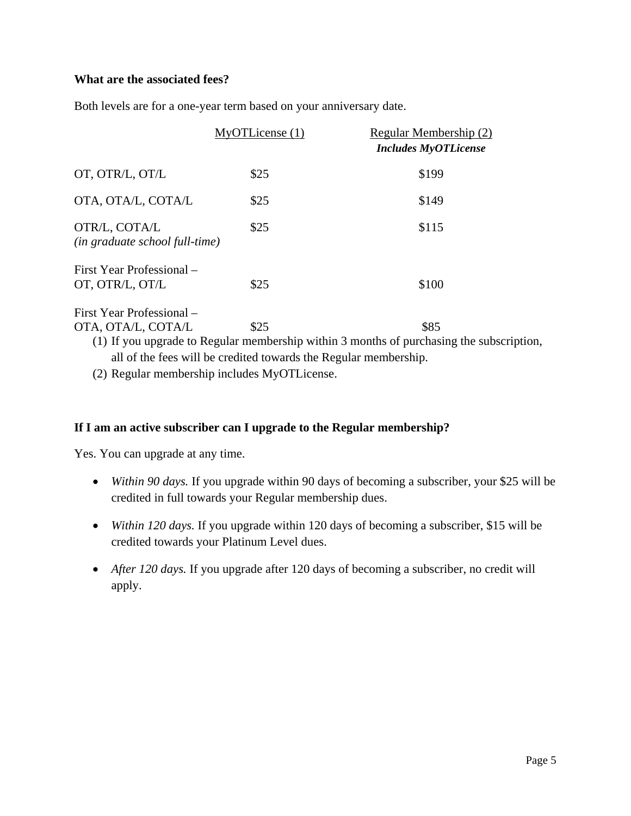### **What are the associated fees?**

Both levels are for a one-year term based on your anniversary date.

|                                                 | MyOTLicense(1)                                                   | Regular Membership (2)<br><b>Includes MyOTLicense</b>                                    |
|-------------------------------------------------|------------------------------------------------------------------|------------------------------------------------------------------------------------------|
| OT, OTR/L, OT/L                                 | \$25                                                             | \$199                                                                                    |
| OTA, OTA/L, COTA/L                              | \$25                                                             | \$149                                                                                    |
| OTR/L, COTA/L<br>(in graduate school full-time) | \$25                                                             | \$115                                                                                    |
| First Year Professional –<br>OT, OTR/L, OT/L    | \$25                                                             | \$100                                                                                    |
| First Year Professional –                       |                                                                  |                                                                                          |
| OTA, OTA/L, COTA/L                              | \$25                                                             | \$85                                                                                     |
|                                                 |                                                                  | (1) If you upgrade to Regular membership within 3 months of purchasing the subscription, |
|                                                 | all of the fees will be credited towards the Regular membership. |                                                                                          |

(2) Regular membership includes MyOTLicense.

## **If I am an active subscriber can I upgrade to the Regular membership?**

Yes. You can upgrade at any time.

- *Within 90 days.* If you upgrade within 90 days of becoming a subscriber, your \$25 will be credited in full towards your Regular membership dues.
- *Within 120 days.* If you upgrade within 120 days of becoming a subscriber, \$15 will be credited towards your Platinum Level dues.
- *After 120 days.* If you upgrade after 120 days of becoming a subscriber, no credit will apply.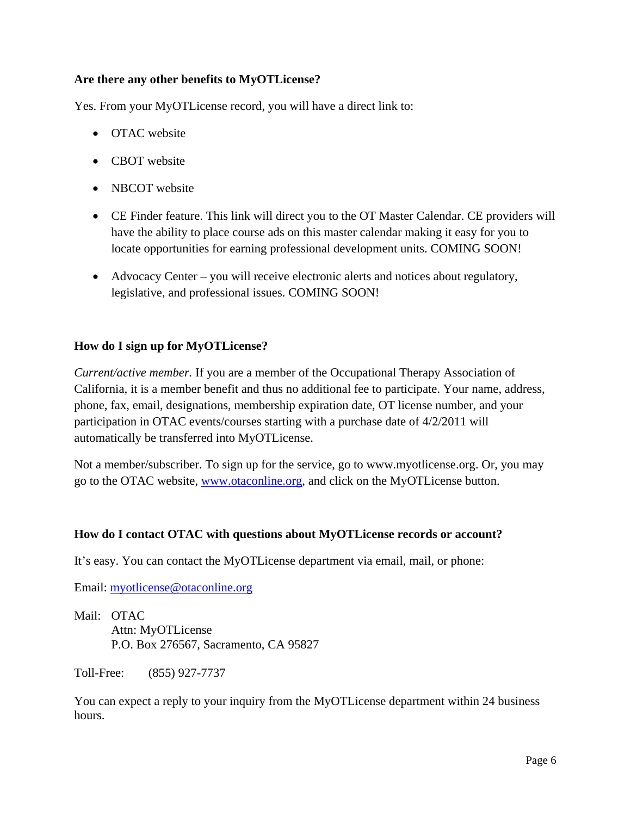## **Are there any other benefits to MyOTLicense?**

Yes. From your MyOTLicense record, you will have a direct link to:

- OTAC website
- CBOT website
- NBCOT website
- CE Finder feature. This link will direct you to the OT Master Calendar. CE providers will have the ability to place course ads on this master calendar making it easy for you to locate opportunities for earning professional development units. COMING SOON!
- Advocacy Center you will receive electronic alerts and notices about regulatory, legislative, and professional issues. COMING SOON!

### **How do I sign up for MyOTLicense?**

*Current/active member.* If you are a member of the Occupational Therapy Association of California, it is a member benefit and thus no additional fee to participate. Your name, address, phone, fax, email, designations, membership expiration date, OT license number, and your participation in OTAC events/courses starting with a purchase date of 4/2/2011 will automatically be transferred into MyOTLicense.

Not a member/subscriber. To sign up for the service, go to www.myotlicense.org. Or, you may go to the OTAC website, www.otaconline.org, and click on the MyOTLicense button.

### **How do I contact OTAC with questions about MyOTLicense records or account?**

It's easy. You can contact the MyOTLicense department via email, mail, or phone:

Email: myotlicense@otaconline.org

Mail: OTAC Attn: MyOTLicense P.O. Box 276567, Sacramento, CA 95827

Toll-Free: (855) 927-7737

You can expect a reply to your inquiry from the MyOTLicense department within 24 business hours.